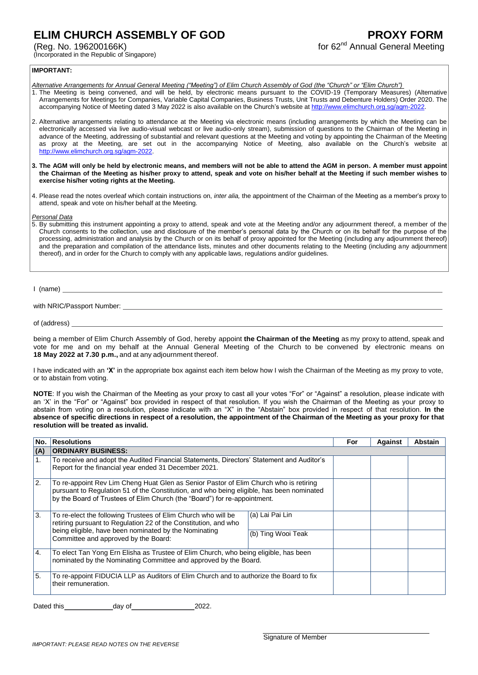## **ELIM CHURCH ASSEMBLY OF GOD**

(Reg. No. 196200166K)

(Incorporated in the Republic of Singapore)

## **IMPORTANT:**

- *Alternative Arrangements for Annual General Meeting ("Meeting") of Elim Church Assembly of God (the "Church" or "Elim Church")*
- 1. The Meeting is being convened, and will be held, by electronic means pursuant to the COVID-19 (Temporary Measures) (Alternative Arrangements for Meetings for Companies, Variable Capital Companies, Business Trusts, Unit Trusts and Debenture Holders) Order 2020. The accompanying Notice of Meeting dated 3 May 2022 is also available on the Church's website at http://www.elimchurch.org.sg/agm-20
- 2. Alternative arrangements relating to attendance at the Meeting via electronic means (including arrangements by which the Meeting can be electronically accessed via live audio-visual webcast or live audio-only stream), submission of questions to the Chairman of the Meeting in advance of the Meeting, addressing of substantial and relevant questions at the Meeting and voting by appointing the Chairman of the Meeting as proxy at the Meeting, are set out in the accompanying Notice of Meeting, also available on the Church's website at [http://www.elimchurch.org.sg/agm-2022.](http://www.elimchurch.org.sg/agm-2022)
- **3. The AGM will only be held by electronic means, and members will not be able to attend the AGM in person. A member must appoint the Chairman of the Meeting as his/her proxy to attend, speak and vote on his/her behalf at the Meeting if such member wishes to exercise his/her voting rights at the Meeting.**
- 4. Please read the notes overleaf which contain instructions on, *inter alia,* the appointment of the Chairman of the Meeting as a member's proxy to attend, speak and vote on his/her behalf at the Meeting.

*Personal Data*

5. By submitting this instrument appointing a proxy to attend, speak and vote at the Meeting and/or any adjournment thereof, a member of the Church consents to the collection, use and disclosure of the member's personal data by the Church or on its behalf for the purpose of the processing, administration and analysis by the Church or on its behalf of proxy appointed for the Meeting (including any adjournment thereof) and the preparation and compilation of the attendance lists, minutes and other documents relating to the Meeting (including any adjournment thereof), and in order for the Church to comply with any applicable laws, regulations and/or guidelines.

I (name)

with NRIC/Passport Number:

of (address)

being a member of Elim Church Assembly of God, hereby appoint **the Chairman of the Meeting** as my proxy to attend, speak and vote for me and on my behalf at the Annual General Meeting of the Church to be convened by electronic means on **18 May 2022 at 7.30 p.m.,** and at any adjournment thereof.

I have indicated with an **'X'** in the appropriate box against each item below how I wish the Chairman of the Meeting as my proxy to vote, or to abstain from voting.

**NOTE**: If you wish the Chairman of the Meeting as your proxy to cast all your votes "For" or "Against" a resolution, please indicate with an 'X' in the "For" or "Against" box provided in respect of that resolution. If you wish the Chairman of the Meeting as your proxy to abstain from voting on a resolution, please indicate with an "X" in the "Abstain" box provided in respect of that resolution. **In the absence of specific directions in respect of a resolution, the appointment of the Chairman of the Meeting as your proxy for that resolution will be treated as invalid.**

| No.             | <b>Resolutions</b>                                                                                                                                                                                                                                              |                    | For | Against | Abstain |
|-----------------|-----------------------------------------------------------------------------------------------------------------------------------------------------------------------------------------------------------------------------------------------------------------|--------------------|-----|---------|---------|
| (A)             | <b>ORDINARY BUSINESS:</b>                                                                                                                                                                                                                                       |                    |     |         |         |
| 1.              | To receive and adopt the Audited Financial Statements, Directors' Statement and Auditor's<br>Report for the financial year ended 31 December 2021.                                                                                                              |                    |     |         |         |
| 2.              | To re-appoint Rev Lim Cheng Huat Glen as Senior Pastor of Elim Church who is retiring<br>pursuant to Regulation 51 of the Constitution, and who being eligible, has been nominated<br>by the Board of Trustees of Elim Church (the "Board") for re-appointment. |                    |     |         |         |
| 3.              | To re-elect the following Trustees of Elim Church who will be<br>retiring pursuant to Regulation 22 of the Constitution, and who<br>being eligible, have been nominated by the Nominating<br>Committee and approved by the Board:                               | (a) Lai Pai Lin    |     |         |         |
|                 |                                                                                                                                                                                                                                                                 | (b) Ting Wooi Teak |     |         |         |
| <sup>1</sup> 4. | To elect Tan Yong Ern Elisha as Trustee of Elim Church, who being eligible, has been<br>nominated by the Nominating Committee and approved by the Board.                                                                                                        |                    |     |         |         |
| ' 5.            | To re-appoint FIDUCIA LLP as Auditors of Elim Church and to authorize the Board to fix<br>their remuneration.                                                                                                                                                   |                    |     |         |         |

Dated this day of 2022.